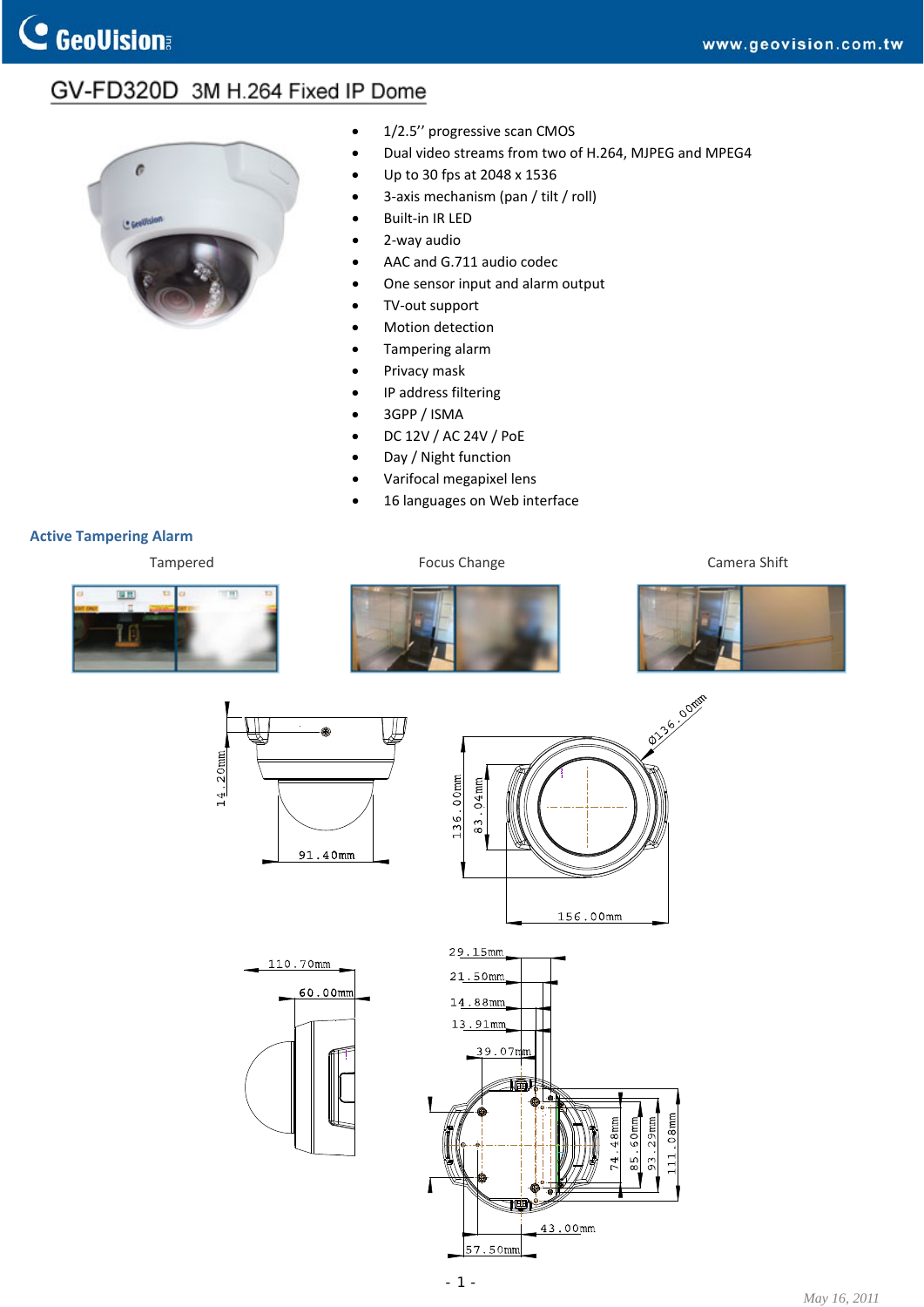## GV-FD320D 3M H.264 Fixed IP Dome



- 1/2.5" progressive scan CMOS
- Dual video streams from two of H.264, MJPEG and MPEG4
- Up to 30 fps at 2048 x 1536
- 3‐axis mechanism (pan / tilt / roll)
- Built‐in IR LED
- 2‐way audio
- AAC and G.711 audio codec
- One sensor input and alarm output
- TV‐out support
- Motion detection
- Tampering alarm
- Privacy mask
- IP address filtering
- 3GPP / ISMA
- DC 12V / AC 24V / PoE
- Day / Night function
- Varifocal megapixel lens
- 16 languages on Web interface

## **Active Tampering Alarm**

Tampered **Focus Change** Focus Change **Focus Change** Camera Shift





110.70mm

60.00mm





- 1 -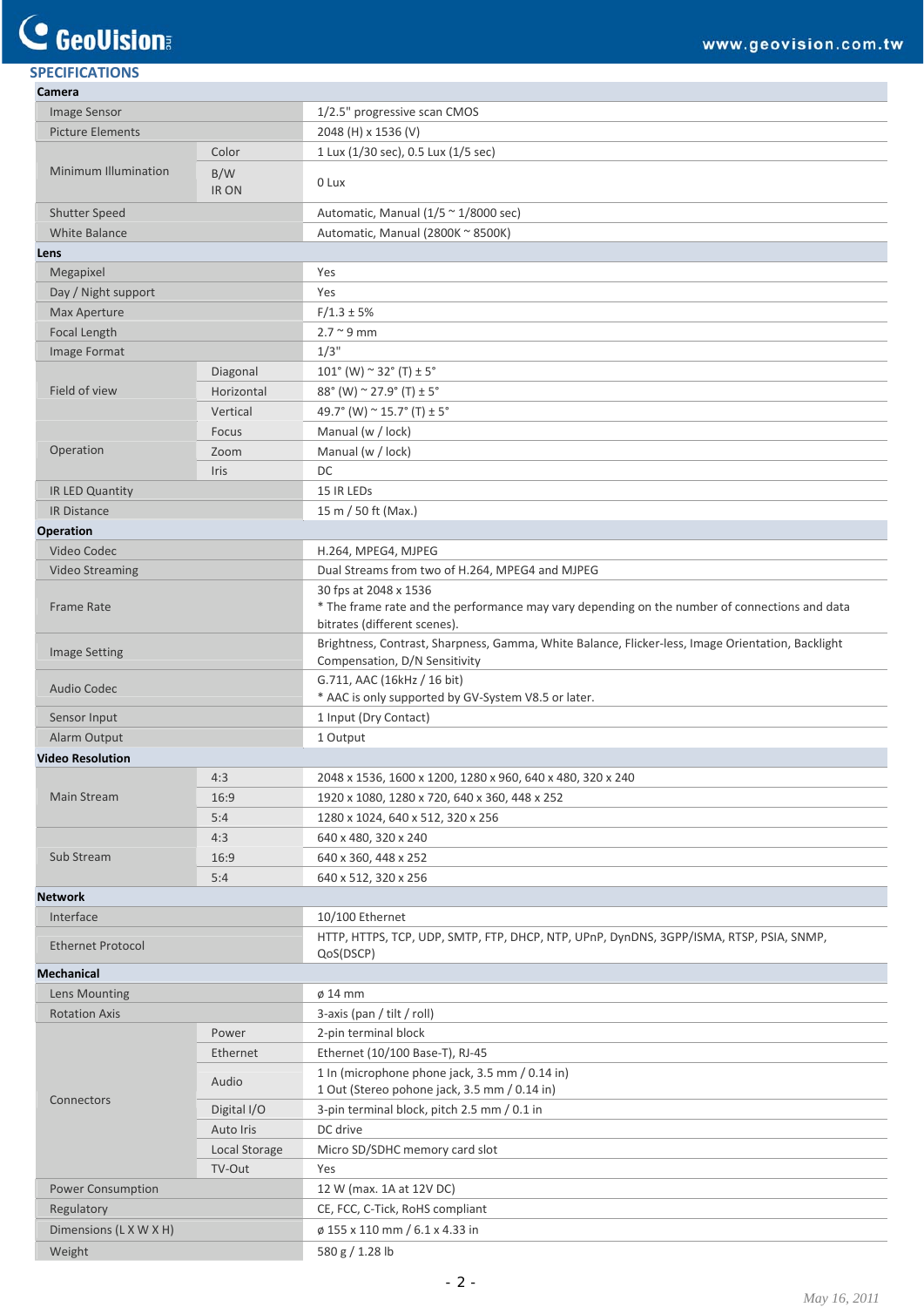## **C** GeoVision

| <b>SPECIFICATIONS</b>    |               |                                                                                                                                                        |
|--------------------------|---------------|--------------------------------------------------------------------------------------------------------------------------------------------------------|
| Camera                   |               |                                                                                                                                                        |
| Image Sensor             |               | 1/2.5" progressive scan CMOS                                                                                                                           |
| <b>Picture Elements</b>  |               | 2048 (H) x 1536 (V)                                                                                                                                    |
| Minimum Illumination     | Color         | 1 Lux (1/30 sec), 0.5 Lux (1/5 sec)                                                                                                                    |
|                          | B/W<br>IR ON  | 0 Lux                                                                                                                                                  |
| Shutter Speed            |               | Automatic, Manual $(1/5 \approx 1/8000 \text{ sec})$                                                                                                   |
| <b>White Balance</b>     |               | Automatic, Manual (2800K ~ 8500K)                                                                                                                      |
| Lens                     |               |                                                                                                                                                        |
| Megapixel                |               | Yes                                                                                                                                                    |
| Day / Night support      |               | Yes                                                                                                                                                    |
| Max Aperture             |               | $F/1.3 \pm 5%$                                                                                                                                         |
| Focal Length             |               | $2.7 \sim 9$ mm                                                                                                                                        |
| Image Format             |               | $1/3$ "                                                                                                                                                |
|                          | Diagonal      | $101^{\circ}$ (W) $\sim$ 32 $^{\circ}$ (T) $\pm$ 5 $^{\circ}$                                                                                          |
| Field of view            | Horizontal    | $88^{\circ}$ (W) $^{\sim}$ 27.9 $^{\circ}$ (T) $\pm$ 5 $^{\circ}$                                                                                      |
|                          | Vertical      | 49.7° (W) $\sim$ 15.7° (T) $\pm$ 5°                                                                                                                    |
|                          | Focus         | Manual (w / lock)                                                                                                                                      |
| Operation                | Zoom          | Manual (w / lock)                                                                                                                                      |
|                          | Iris          | DC                                                                                                                                                     |
| IR LED Quantity          |               | 15 IR LEDs                                                                                                                                             |
| IR Distance              |               | 15 m / 50 ft (Max.)                                                                                                                                    |
| <b>Operation</b>         |               |                                                                                                                                                        |
| Video Codec              |               | H.264, MPEG4, MJPEG                                                                                                                                    |
| <b>Video Streaming</b>   |               | Dual Streams from two of H.264, MPEG4 and MJPEG                                                                                                        |
| Frame Rate               |               | 30 fps at 2048 x 1536<br>* The frame rate and the performance may vary depending on the number of connections and data<br>bitrates (different scenes). |
| <b>Image Setting</b>     |               | Brightness, Contrast, Sharpness, Gamma, White Balance, Flicker-less, Image Orientation, Backlight<br>Compensation, D/N Sensitivity                     |
| <b>Audio Codec</b>       |               | G.711, AAC (16kHz / 16 bit)<br>* AAC is only supported by GV-System V8.5 or later.                                                                     |
| Sensor Input             |               | 1 Input (Dry Contact)                                                                                                                                  |
| Alarm Output             |               | 1 Output                                                                                                                                               |
| <b>Video Resolution</b>  |               |                                                                                                                                                        |
| Main Stream              | 4:3           | 2048 x 1536, 1600 x 1200, 1280 x 960, 640 x 480, 320 x 240                                                                                             |
|                          | 16:9          | 1920 x 1080, 1280 x 720, 640 x 360, 448 x 252                                                                                                          |
|                          | 5:4           | 1280 x 1024, 640 x 512, 320 x 256                                                                                                                      |
| Sub Stream               | 4:3           | 640 x 480, 320 x 240                                                                                                                                   |
|                          | 16:9          | 640 x 360, 448 x 252                                                                                                                                   |
|                          | 5:4           | 640 x 512, 320 x 256                                                                                                                                   |
| <b>Network</b>           |               |                                                                                                                                                        |
| Interface                |               | 10/100 Ethernet                                                                                                                                        |
| <b>Ethernet Protocol</b> |               | HTTP, HTTPS, TCP, UDP, SMTP, FTP, DHCP, NTP, UPnP, DynDNS, 3GPP/ISMA, RTSP, PSIA, SNMP,<br>QoS(DSCP)                                                   |
| <b>Mechanical</b>        |               |                                                                                                                                                        |
| Lens Mounting            |               | $\phi$ 14 mm                                                                                                                                           |
| <b>Rotation Axis</b>     |               | 3-axis (pan / tilt / roll)                                                                                                                             |
| Connectors               | Power         | 2-pin terminal block                                                                                                                                   |
|                          | Ethernet      | Ethernet (10/100 Base-T), RJ-45                                                                                                                        |
|                          | Audio         | 1 In (microphone phone jack, 3.5 mm / 0.14 in)<br>1 Out (Stereo pohone jack, 3.5 mm / 0.14 in)                                                         |
|                          | Digital I/O   | 3-pin terminal block, pitch 2.5 mm / 0.1 in                                                                                                            |
|                          | Auto Iris     | DC drive                                                                                                                                               |
|                          | Local Storage | Micro SD/SDHC memory card slot                                                                                                                         |
|                          | TV-Out        | Yes                                                                                                                                                    |
| Power Consumption        |               | 12 W (max. 1A at 12V DC)                                                                                                                               |
| Regulatory               |               | CE, FCC, C-Tick, RoHS compliant                                                                                                                        |
| Dimensions (L X W X H)   |               | ø 155 x 110 mm / 6.1 x 4.33 in                                                                                                                         |

Weight 580 g / 1.28 lb